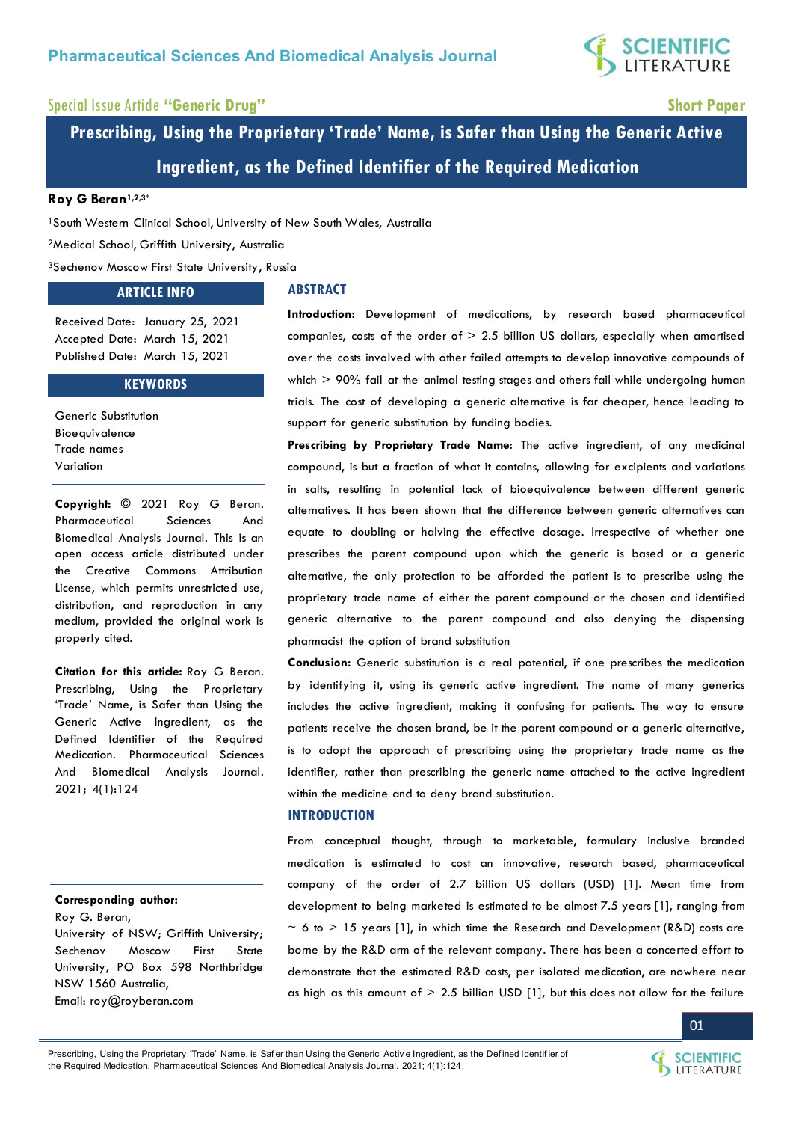

## Special Issue Article **"Generic Drug" Short Paper**

**Prescribing, Using the Proprietary 'Trade' Name, is Safer than Using the Generic Active Ingredient, as the Defined Identifier of the Required Medication** 

## **Roy G Beran1,2,3\***

<sup>1</sup>South Western Clinical School, University of New South Wales, Australia

<sup>2</sup>Medical School, Griffith University, Australia

<sup>3</sup>Sechenov Moscow First State University, Russia

## **ARTICLE INFO**

## **ABSTRACT**

Received Date: January 25, 2021 Accepted Date: March 15, 2021 Published Date: March 15, 2021

#### **KEYWORDS**

Generic Substitution Bioequivalence Trade names Variation

**Copyright:** © 2021 Roy G Beran. Pharmaceutical Sciences And Biomedical Analysis Journal. This is an open access article distributed under the Creative Commons Attribution License, which permits unrestricted use, distribution, and reproduction in any medium, provided the original work is properly cited.

**Citation for this article:** Roy G Beran. Prescribing, Using the Proprietary 'Trade' Name, is Safer than Using the Generic Active Ingredient, as the Defined Identifier of the Required Medication. Pharmaceutical Sciences And Biomedical Analysis Journal. 2021; 4(1):124

## **Corresponding author:**

Roy G. Beran, University of NSW; Griffith University; Sechenov Moscow First State University, PO Box 598 Northbridge NSW 1560 Australia, Email: [roy@royberan.com](mailto:roy@royberan.com) 

**Introduction:** Development of medications, by research based pharmaceutical companies, costs of the order of  $> 2.5$  billion US dollars, especially when amortised over the costs involved with other failed attempts to develop innovative compounds of which  $>$  90% fail at the animal testing stages and others fail while undergoing human trials. The cost of developing a generic alternative is far cheaper, hence leading to support for generic substitution by funding bodies.

**Prescribing by Proprietary Trade Name:** The active ingredient, of any medicinal compound, is but a fraction of what it contains, allowing for excipients and variations in salts, resulting in potential lack of bioequivalence between different generic alternatives. It has been shown that the difference between generic alternatives can equate to doubling or halving the effective dosage. Irrespective of whether one prescribes the parent compound upon which the generic is based or a generic alternative, the only protection to be afforded the patient is to prescribe using the proprietary trade name of either the parent compound or the chosen and identified generic alternative to the parent compound and also denying the dispensing pharmacist the option of brand substitution

**Conclusion:** Generic substitution is a real potential, if one prescribes the medication by identifying it, using its generic active ingredient. The name of many generics includes the active ingredient, making it confusing for patients. The way to ensure patients receive the chosen brand, be it the parent compound or a generic alternative, is to adopt the approach of prescribing using the proprietary trade name as the identifier, rather than prescribing the generic name attached to the active ingredient within the medicine and to deny brand substitution.

#### **INTRODUCTION**

From conceptual thought, through to marketable, formulary inclusive branded medication is estimated to cost an innovative, research based, pharmaceutical company of the order of 2.7 billion US dollars (USD) [1]. Mean time from development to being marketed is estimated to be almost 7.5 years [1], ranging from  $\sim$  6 to  $>$  15 years [1], in which time the Research and Development (R&D) costs are borne by the R&D arm of the relevant company. There has been a concerted effort to demonstrate that the estimated R&D costs, per isolated medication, are nowhere near as high as this amount of  $> 2.5$  billion USD [1], but this does not allow for the failure

Prescribing, Using the Proprietary 'Trade' Name, is Safer than Using the Generic Active Ingredient, as the Defined Identifier of the Required Medication. Pharmaceutical Sciences And Biomedical Analy sis Journal. 2021; 4(1):124.



LITERATURE

01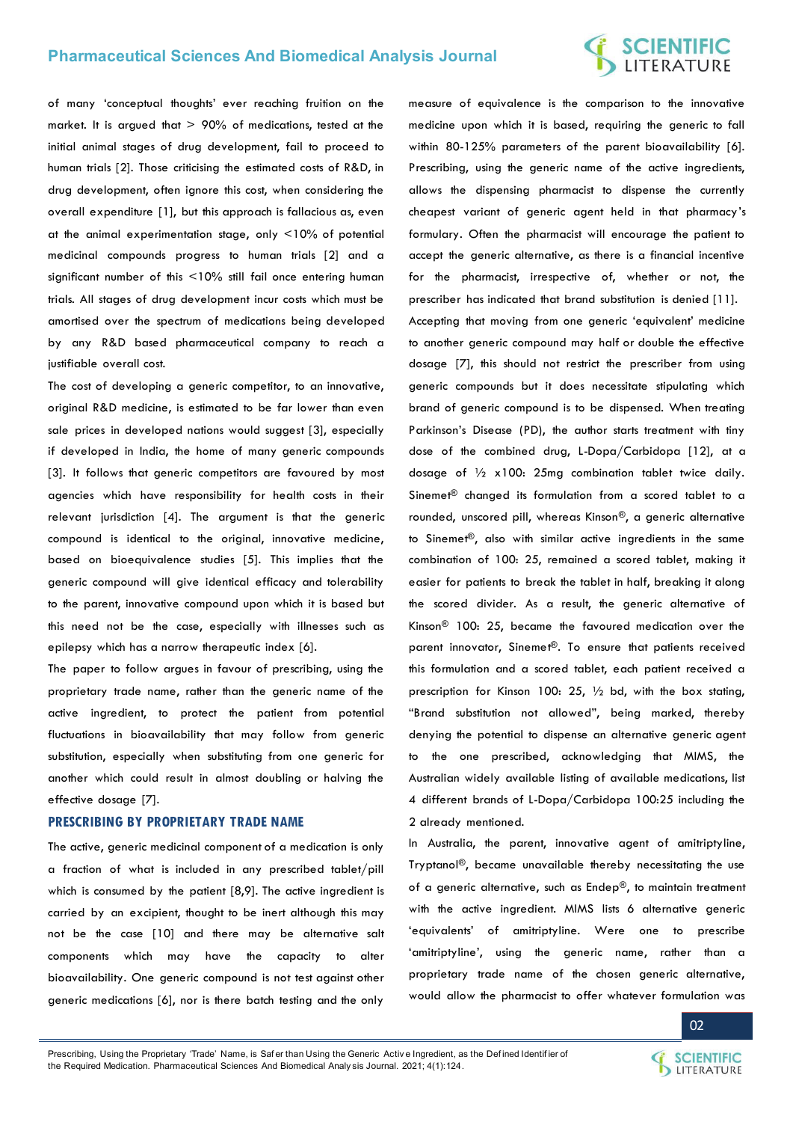## **Pharmaceutical Sciences And Biomedical Analysis Journal**

## **SCIENTIFIC**<br>LITERATURE

of many 'conceptual thoughts' ever reaching fruition on the market. It is argued that  $> 90\%$  of medications, tested at the initial animal stages of drug development, fail to proceed to human trials [2]. Those criticising the estimated costs of R&D, in drug development, often ignore this cost, when considering the overall expenditure [1], but this approach is fallacious as, even at the animal experimentation stage, only <10% of potential medicinal compounds progress to human trials [2] and a significant number of this <10% still fail once entering human trials. All stages of drug development incur costs which must be amortised over the spectrum of medications being developed by any R&D based pharmaceutical company to reach a justifiable overall cost.

The cost of developing a generic competitor, to an innovative, original R&D medicine, is estimated to be far lower than even sale prices in developed nations would suggest [3], especially if developed in India, the home of many generic compounds [3]. It follows that generic competitors are favoured by most agencies which have responsibility for health costs in their relevant jurisdiction [4]. The argument is that the generic compound is identical to the original, innovative medicine, based on bioequivalence studies [5]. This implies that the generic compound will give identical efficacy and tolerability to the parent, innovative compound upon which it is based but this need not be the case, especially with illnesses such as epilepsy which has a narrow therapeutic index [6].

The paper to follow argues in favour of prescribing, using the proprietary trade name, rather than the generic name of the active ingredient, to protect the patient from potential fluctuations in bioavailability that may follow from generic substitution, especially when substituting from one generic for another which could result in almost doubling or halving the effective dosage [7].

#### **PRESCRIBING BY PROPRIETARY TRADE NAME**

The active, generic medicinal component of a medication is only a fraction of what is included in any prescribed tablet/pill which is consumed by the patient [8,9]. The active ingredient is carried by an excipient, thought to be inert although this may not be the case [10] and there may be alternative salt components which may have the capacity to alter bioavailability. One generic compound is not test against other generic medications [6], nor is there batch testing and the only

measure of equivalence is the comparison to the innovative medicine upon which it is based, requiring the generic to fall within 80-125% parameters of the parent bioavailability [6]. Prescribing, using the generic name of the active ingredients, allows the dispensing pharmacist to dispense the currently cheapest variant of generic agent held in that pharmacy's formulary. Often the pharmacist will encourage the patient to accept the generic alternative, as there is a financial incentive for the pharmacist, irrespective of, whether or not, the prescriber has indicated that brand substitution is denied [11]. Accepting that moving from one generic 'equivalent' medicine to another generic compound may half or double the effective dosage [7], this should not restrict the prescriber from using generic compounds but it does necessitate stipulating which brand of generic compound is to be dispensed. When treating Parkinson's Disease (PD), the author starts treatment with tiny dose of the combined drug, L-Dopa/Carbidopa [12], at a dosage of ½ x100: 25mg combination tablet twice daily. Sinemet<sup>®</sup> changed its formulation from a scored tablet to a rounded, unscored pill, whereas Kinson®, a generic alternative to Sinemet®, also with similar active ingredients in the same combination of 100: 25, remained a scored tablet, making it easier for patients to break the tablet in half, breaking it along the scored divider. As a result, the generic alternative of Kinson® 100: 25, became the favoured medication over the parent innovator, Sinemet®. To ensure that patients received this formulation and a scored tablet, each patient received a prescription for Kinson 100: 25, ½ bd, with the box stating, "Brand substitution not allowed", being marked, thereby denying the potential to dispense an alternative generic agent to the one prescribed, acknowledging that MIMS, the Australian widely available listing of available medications, list 4 different brands of L-Dopa/Carbidopa 100:25 including the 2 already mentioned.

In Australia, the parent, innovative agent of amitriptyline, Tryptanol®, became unavailable thereby necessitating the use of a generic alternative, such as Endep®, to maintain treatment with the active ingredient. MIMS lists 6 alternative generic 'equivalents' of amitriptyline. Were one to prescribe 'amitriptyline', using the generic name, rather than a proprietary trade name of the chosen generic alternative, would allow the pharmacist to offer whatever formulation was

02

Prescribing, Using the Proprietary 'Trade' Name, is Safer than Using the Generic Active Ingredient, as the Defined Identifier of the Required Medication. Pharmaceutical Sciences And Biomedical Analy sis Journal. 2021; 4(1):124.